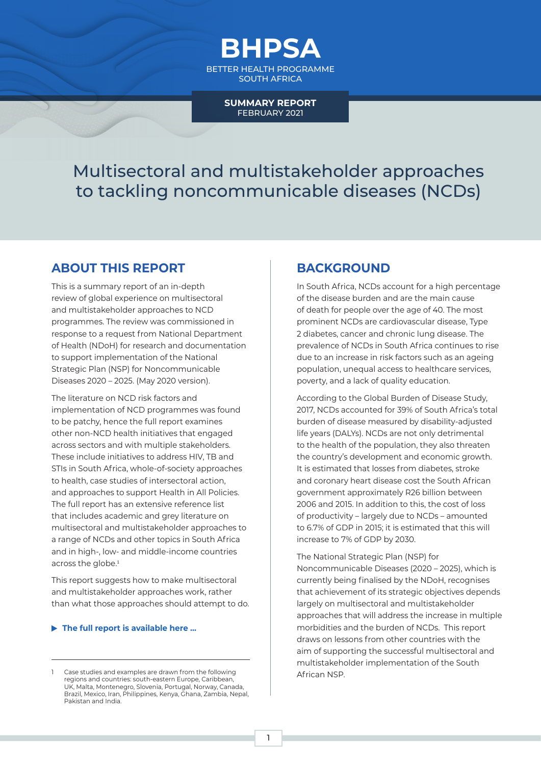

SOUTH AFRICA

**SUMMARY REPORT** FEBRUARY 2021

# Multisectoral and multistakeholder approaches to tackling noncommunicable diseases (NCDs)

# **ABOUT THIS REPORT**

This is a summary report of an in-depth review of global experience on multisectoral and multistakeholder approaches to NCD programmes. The review was commissioned in response to a request from National Department of Health (NDoH) for research and documentation to support implementation of the National Strategic Plan (NSP) for Noncommunicable Diseases 2020 – 2025. (May 2020 version).

The literature on NCD risk factors and implementation of NCD programmes was found to be patchy, hence the full report examines other non-NCD health initiatives that engaged across sectors and with multiple stakeholders. These include initiatives to address HIV, TB and STIs in South Africa, whole-of-society approaches to health, case studies of intersectoral action, and approaches to support Health in All Policies. The full report has an extensive reference list that includes academic and grey literature on multisectoral and multistakeholder approaches to a range of NCDs and other topics in South Africa and in high-, low- and middle-income countries across the globe.<sup>1</sup>

This report suggests how to make multisectoral and multistakeholder approaches work, rather than what those approaches should attempt to do.

#### **[The full report is available here ...](https://hssncds.co.za/component/jdownloads/?task=download.send&id=19:1-1-1-6-multisectoral-and-multi-stakeholder-approaches-to-tackling-ncds-lessons-from-implementation-final-logos&catid=3&m=0&Itemid=351)**

## **BACKGROUND**

In South Africa, NCDs account for a high percentage of the disease burden and are the main cause of death for people over the age of 40. The most prominent NCDs are cardiovascular disease, Type 2 diabetes, cancer and chronic lung disease. The prevalence of NCDs in South Africa continues to rise due to an increase in risk factors such as an ageing population, unequal access to healthcare services, poverty, and a lack of quality education.

According to the Global Burden of Disease Study, 2017, NCDs accounted for 39% of South Africa's total burden of disease measured by disability-adjusted life years (DALYs). NCDs are not only detrimental to the health of the population, they also threaten the country's development and economic growth. It is estimated that losses from diabetes, stroke and coronary heart disease cost the South African government approximately R26 billion between 2006 and 2015. In addition to this, the cost of loss of productivity – largely due to NCDs – amounted to 6.7% of GDP in 2015; it is estimated that this will increase to 7% of GDP by 2030.

The National Strategic Plan (NSP) for Noncommunicable Diseases (2020 – 2025), which is currently being finalised by the NDoH, recognises that achievement of its strategic objectives depends largely on multisectoral and multistakeholder approaches that will address the increase in multiple morbidities and the burden of NCDs. This report draws on lessons from other countries with the aim of supporting the successful multisectoral and multistakeholder implementation of the South African NSP.

Case studies and examples are drawn from the following regions and countries: south-eastern Europe, Caribbean, UK, Malta, Montenegro, Slovenia, Portugal, Norway, Canada, Brazil, Mexico, Iran, Philippines, Kenya, Ghana, Zambia, Nepal, Pakistan and India.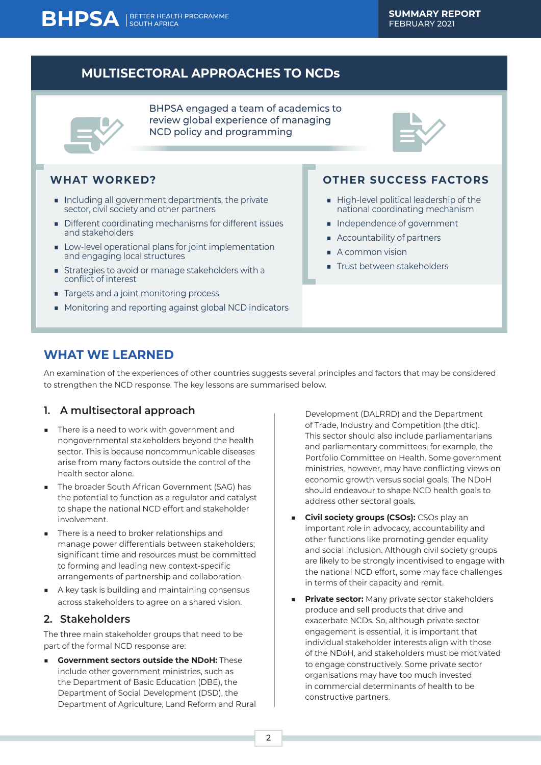# **MULTISECTORAL APPROACHES TO NCDs**



BHPSA engaged a team of academics to review global experience of managing NCD policy and programming



#### **WHAT WORKED?**

■ Including all government departments, the private sector, civil society and other partners

SOUTH AFRICA

- Different coordinating mechanisms for different issues and stakeholders
- Low-level operational plans for joint implementation and engaging local structures
- Strategies to avoid or manage stakeholders with a conflict of interest
- Targets and a joint monitoring process
- Monitoring and reporting against global NCD indicators

## **OTHER SUCCESS FACTORS**

- High-level political leadership of the national coordinating mechanism
- Independence of government
- Accountability of partners
- A common vision
- Trust between stakeholders

## **WHAT WE LEARNED**

An examination of the experiences of other countries suggests several principles and factors that may be considered to strengthen the NCD response. The key lessons are summarised below.

#### **1. A multisectoral approach**

- There is a need to work with government and nongovernmental stakeholders beyond the health sector. This is because noncommunicable diseases arise from many factors outside the control of the health sector alone.
- The broader South African Government (SAG) has the potential to function as a regulator and catalyst to shape the national NCD effort and stakeholder involvement.
- There is a need to broker relationships and manage power differentials between stakeholders; significant time and resources must be committed to forming and leading new context-specific arrangements of partnership and collaboration.
- A key task is building and maintaining consensus across stakeholders to agree on a shared vision.

#### **2. Stakeholders**

The three main stakeholder groups that need to be part of the formal NCD response are:

**Government sectors outside the NDoH:** These include other government ministries, such as the Department of Basic Education (DBE), the Department of Social Development (DSD), the Department of Agriculture, Land Reform and Rural Development (DALRRD) and the Department of Trade, Industry and Competition (the dtic). This sector should also include parliamentarians and parliamentary committees, for example, the Portfolio Committee on Health. Some government ministries, however, may have conflicting views on economic growth versus social goals. The NDoH should endeavour to shape NCD health goals to address other sectoral goals.

- **Civil society groups (CSOs): CSOs play an** important role in advocacy, accountability and other functions like promoting gender equality and social inclusion. Although civil society groups are likely to be strongly incentivised to engage with the national NCD effort, some may face challenges in terms of their capacity and remit.
- **Private sector:** Many private sector stakeholders produce and sell products that drive and exacerbate NCDs. So, although private sector engagement is essential, it is important that individual stakeholder interests align with those of the NDoH, and stakeholders must be motivated to engage constructively. Some private sector organisations may have too much invested in commercial determinants of health to be constructive partners.